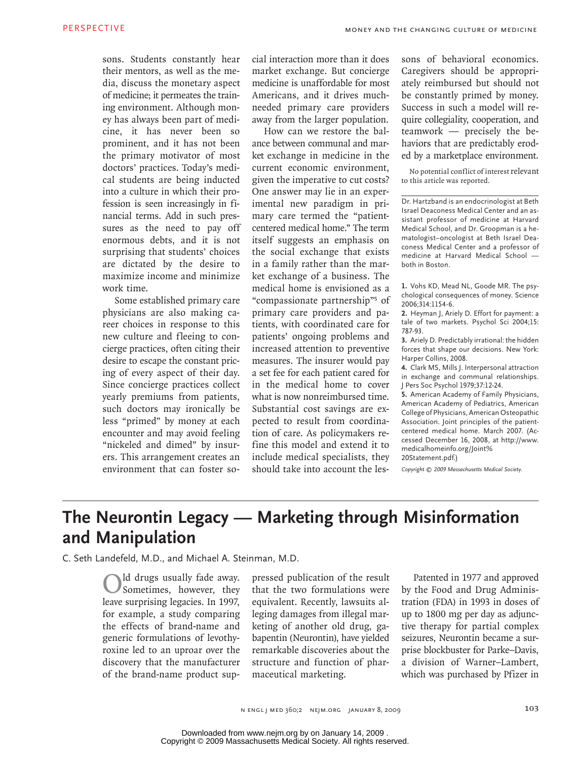sons. Students constantly hear their mentors, as well as the media, discuss the monetary aspect of medicine; it permeates the training environment. Although money has always been part of medicine, it has never been so prominent, and it has not been the primary motivator of most doctors' practices. Today's medical students are being inducted into a culture in which their profession is seen increasingly in financial terms. Add in such pressures as the need to pay off enormous debts, and it is not surprising that students' choices are dictated by the desire to maximize income and minimize work time.

Some established primary care physicians are also making career choices in response to this new culture and fleeing to concierge practices, often citing their desire to escape the constant pricing of every aspect of their day. Since concierge practices collect yearly premiums from patients, such doctors may ironically be less "primed" by money at each encounter and may avoid feeling "nickeled and dimed" by insurers. This arrangement creates an environment that can foster social interaction more than it does market exchange. But concierge medicine is unaffordable for most Americans, and it drives muchneeded primary care providers away from the larger population.

How can we restore the balance between communal and market exchange in medicine in the current economic environment, given the imperative to cut costs? One answer may lie in an experimental new paradigm in primary care termed the "patientcentered medical home." The term itself suggests an emphasis on the social exchange that exists in a family rather than the market exchange of a business. The medical home is envisioned as a "compassionate partnership"5 of primary care providers and patients, with coordinated care for patients' ongoing problems and increased attention to preventive measures. The insurer would pay a set fee for each patient cared for in the medical home to cover what is now nonreimbursed time. Substantial cost savings are expected to result from coordination of care. As policymakers refine this model and extend it to include medical specialists, they should take into account the lessons of behavioral economics. Caregivers should be appropriately reimbursed but should not be constantly primed by money. Success in such a model will require collegiality, cooperation, and teamwork — precisely the behaviors that are predictably eroded by a marketplace environment.

No potential conflict of interest relevant to this article was reported.

Dr. Hartzband is an endocrinologist at Beth Israel Deaconess Medical Center and an assistant professor of medicine at Harvard Medical School, and Dr. Groopman is a hematologist–oncologist at Beth Israel Deaconess Medical Center and a professor of medicine at Harvard Medical School both in Boston.

**1.** Vohs KD, Mead NL, Goode MR. The psychological consequences of money. Science 2006;314:1154-6.

**2.** Heyman J, Ariely D. Effort for payment: a tale of two markets. Psychol Sci 2004;15: 787-93.

**3.** Ariely D. Predictably irrational: the hidden forces that shape our decisions. New York: Harper Collins, 2008.

**4.** Clark MS, Mills J. Interpersonal attraction in exchange and communal relationships. J Pers Soc Psychol 1979;37:12-24.

**5.** American Academy of Family Physicians, American Academy of Pediatrics, American College of Physicians, American Osteopathic Association. Joint principles of the patientcentered medical home. March 2007. (Accessed December 16, 2008, at http://www. medicalhomeinfo.org/Joint% 20Statement.pdf.)

*Copyright © 2009 Massachusetts Medical Society.*

## **The Neurontin Legacy — Marketing through Misinformation and Manipulation**

C. Seth Landefeld, M.D., and Michael A. Steinman, M.D.

Old drugs usually fade away. Sometimes, however, they leave surprising legacies. In 1997, for example, a study comparing the effects of brand-name and generic formulations of levothyroxine led to an uproar over the discovery that the manufacturer of the brand-name product sup-

pressed publication of the result that the two formulations were equivalent. Recently, lawsuits alleging damages from illegal marketing of another old drug, gabapentin (Neurontin), have yielded remarkable discoveries about the structure and function of pharmaceutical marketing.

Patented in 1977 and approved by the Food and Drug Administration (FDA) in 1993 in doses of up to 1800 mg per day as adjunctive therapy for partial complex seizures, Neurontin became a surprise blockbuster for Parke–Davis, a division of Warner–Lambert, which was purchased by Pfizer in

n engl j med 360;2 nejm.org january 8, 2009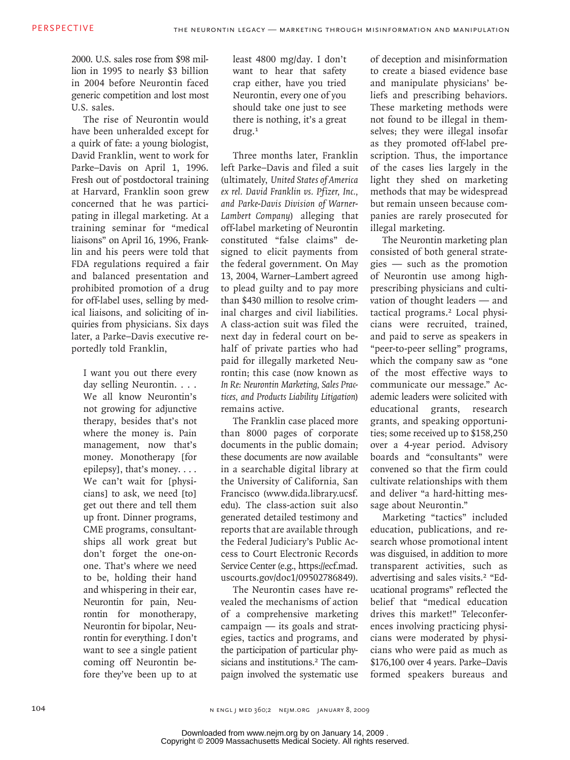2000. U.S. sales rose from \$98 million in 1995 to nearly \$3 billion in 2004 before Neurontin faced generic competition and lost most U.S. sales.

The rise of Neurontin would have been unheralded except for a quirk of fate: a young biologist, David Franklin, went to work for Parke–Davis on April 1, 1996. Fresh out of postdoctoral training at Harvard, Franklin soon grew concerned that he was participating in illegal marketing. At a training seminar for "medical liaisons" on April 16, 1996, Franklin and his peers were told that FDA regulations required a fair and balanced presentation and prohibited promotion of a drug for off-label uses, selling by medical liaisons, and soliciting of inquiries from physicians. Six days later, a Parke–Davis executive reportedly told Franklin,

I want you out there every day selling Neurontin. . . . We all know Neurontin's not growing for adjunctive therapy, besides that's not where the money is. Pain management, now that's money. Monotherapy [for epilepsy], that's money. . . . We can't wait for [physicians] to ask, we need [to] get out there and tell them up front. Dinner programs, CME programs, consultantships all work great but don't forget the one-onone. That's where we need to be, holding their hand and whispering in their ear, Neurontin for pain, Neurontin for monotherapy, Neurontin for bipolar, Neurontin for everything. I don't want to see a single patient coming off Neurontin before they've been up to at

least 4800 mg/day. I don't want to hear that safety crap either, have you tried Neurontin, every one of you should take one just to see there is nothing, it's a great drug.<sup>1</sup>

Three months later, Franklin left Parke–Davis and filed a suit (ultimately, *United States of America ex rel. David Franklin vs. Pfizer, Inc., and Parke-Davis Division of Warner-Lambert Company*) alleging that off-label marketing of Neurontin constituted "false claims" designed to elicit payments from the federal government. On May 13, 2004, Warner–Lambert agreed to plead guilty and to pay more than \$430 million to resolve criminal charges and civil liabilities. A class-action suit was filed the next day in federal court on behalf of private parties who had paid for illegally marketed Neurontin; this case (now known as *In Re: Neurontin Marketing, Sales Practices, and Products Liability Litigation*) remains active.

The Franklin case placed more than 8000 pages of corporate documents in the public domain; these documents are now available in a searchable digital library at the University of California, San Francisco (www.dida.library.ucsf. edu). The class-action suit also generated detailed testimony and reports that are available through the Federal Judiciary's Public Access to Court Electronic Records Service Center (e.g., https://ecf.mad. uscourts.gov/doc1/09502786849).

The Neurontin cases have revealed the mechanisms of action of a comprehensive marketing campaign — its goals and strategies, tactics and programs, and the participation of particular physicians and institutions.<sup>2</sup> The campaign involved the systematic use of deception and misinformation to create a biased evidence base and manipulate physicians' beliefs and prescribing behaviors. These marketing methods were not found to be illegal in themselves; they were illegal insofar as they promoted off-label prescription. Thus, the importance of the cases lies largely in the light they shed on marketing methods that may be widespread but remain unseen because companies are rarely prosecuted for illegal marketing.

The Neurontin marketing plan consisted of both general strategies — such as the promotion of Neurontin use among highprescribing physicians and cultivation of thought leaders — and tactical programs.2 Local physicians were recruited, trained, and paid to serve as speakers in "peer-to-peer selling" programs, which the company saw as "one of the most effective ways to communicate our message." Academic leaders were solicited with educational grants, research grants, and speaking opportunities; some received up to \$158,250 over a 4-year period. Advisory boards and "consultants" were convened so that the firm could cultivate relationships with them and deliver "a hard-hitting message about Neurontin."

Marketing "tactics" included education, publications, and research whose promotional intent was disguised, in addition to more transparent activities, such as advertising and sales visits.2 "Educational programs" reflected the belief that "medical education drives this market!" Teleconferences involving practicing physicians were moderated by physicians who were paid as much as \$176,100 over 4 years. Parke–Davis formed speakers bureaus and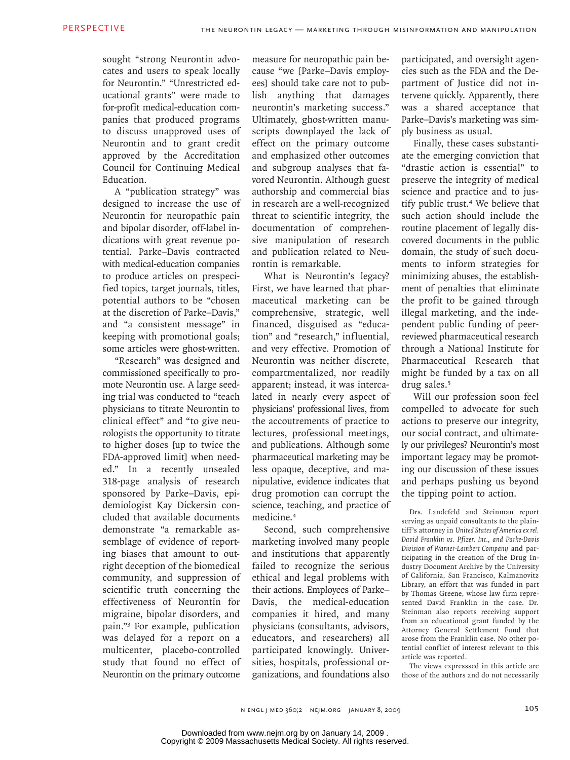sought "strong Neurontin advocates and users to speak locally for Neurontin." "Unrestricted educational grants" were made to for-profit medical-education companies that produced programs to discuss unapproved uses of Neurontin and to grant credit approved by the Accreditation Council for Continuing Medical Education.

A "publication strategy" was designed to increase the use of Neurontin for neuropathic pain and bipolar disorder, off-label indications with great revenue potential. Parke–Davis contracted with medical-education companies to produce articles on prespecified topics, target journals, titles, potential authors to be "chosen at the discretion of Parke–Davis," and "a consistent message" in keeping with promotional goals; some articles were ghost-written.

"Research" was designed and commissioned specifically to promote Neurontin use. A large seeding trial was conducted to "teach physicians to titrate Neurontin to clinical effect" and "to give neurologists the opportunity to titrate to higher doses [up to twice the FDA-approved limit] when needed." In a recently unsealed 318-page analysis of research sponsored by Parke–Davis, epidemiologist Kay Dickersin concluded that available documents demonstrate "a remarkable assemblage of evidence of reporting biases that amount to outright deception of the biomedical community, and suppression of scientific truth concerning the effectiveness of Neurontin for migraine, bipolar disorders, and pain."3 For example, publication was delayed for a report on a multicenter, placebo-controlled study that found no effect of Neurontin on the primary outcome

measure for neuropathic pain because "we [Parke–Davis employees] should take care not to publish anything that damages neurontin's marketing success." Ultimately, ghost-written manuscripts downplayed the lack of effect on the primary outcome and emphasized other outcomes and subgroup analyses that favored Neurontin. Although guest authorship and commercial bias in research are a well-recognized threat to scientific integrity, the documentation of comprehensive manipulation of research and publication related to Neurontin is remarkable.

What is Neurontin's legacy? First, we have learned that pharmaceutical marketing can be comprehensive, strategic, well financed, disguised as "education" and "research," influential, and very effective. Promotion of Neurontin was neither discrete, compartmentalized, nor readily apparent; instead, it was intercalated in nearly every aspect of physicians' professional lives, from the accoutrements of practice to lectures, professional meetings, and publications. Although some pharmaceutical marketing may be less opaque, deceptive, and manipulative, evidence indicates that drug promotion can corrupt the science, teaching, and practice of medicine.<sup>4</sup>

Second, such comprehensive marketing involved many people and institutions that apparently failed to recognize the serious ethical and legal problems with their actions. Employees of Parke– Davis, the medical-education companies it hired, and many physicians (consultants, advisors, educators, and researchers) all participated knowingly. Universities, hospitals, professional organizations, and foundations also

participated, and oversight agencies such as the FDA and the Department of Justice did not intervene quickly. Apparently, there was a shared acceptance that Parke–Davis's marketing was simply business as usual.

Finally, these cases substantiate the emerging conviction that "drastic action is essential" to preserve the integrity of medical science and practice and to justify public trust.4 We believe that such action should include the routine placement of legally discovered documents in the public domain, the study of such documents to inform strategies for minimizing abuses, the establishment of penalties that eliminate the profit to be gained through illegal marketing, and the independent public funding of peerreviewed pharmaceutical research through a National Institute for Pharmaceutical Research that might be funded by a tax on all drug sales.<sup>5</sup>

Will our profession soon feel compelled to advocate for such actions to preserve our integrity, our social contract, and ultimately our privileges? Neurontin's most important legacy may be promoting our discussion of these issues and perhaps pushing us beyond the tipping point to action.

Drs. Landefeld and Steinman report serving as unpaid consultants to the plaintiff's attorney in *United States of America ex rel. David Franklin vs. Pfizer, Inc., and Parke-Davis Division of Warner-Lambert Company* and participating in the creation of the Drug Industry Document Archive by the University of California, San Francisco, Kalmanovitz Library, an effort that was funded in part by Thomas Greene, whose law firm represented David Franklin in the case. Dr. Steinman also reports receiving support from an educational grant funded by the Attorney General Settlement Fund that arose from the Franklin case. No other potential conflict of interest relevant to this article was reported.

The views expresssed in this article are those of the authors and do not necessarily